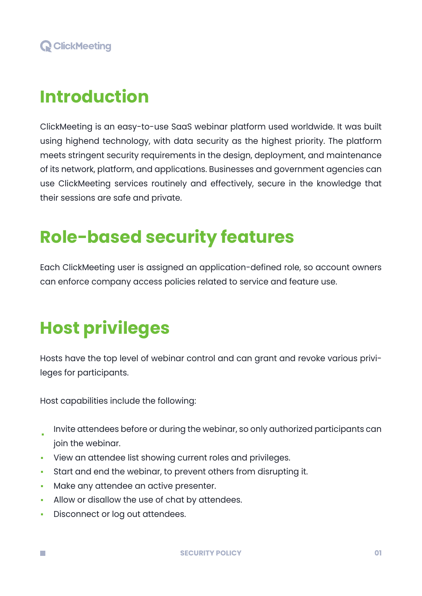## **Introduction**

ClickMeeting is an easy-to-use SaaS webinar platform used worldwide. It was built using highend technology, with data security as the highest priority. The platform meets stringent security requirements in the design, deployment, and maintenance of its network, platform, and applications. Businesses and government agencies can use ClickMeeting services routinely and effectively, secure in the knowledge that their sessions are safe and private.

## **Role-based security features**

Each ClickMeeting user is assigned an application-defined role, so account owners can enforce company access policies related to service and feature use.

## **Host privileges**

Hosts have the top level of webinar control and can grant and revoke various privileges for participants.

Host capabilities include the following:

- Invite attendees before or during the webinar, so only authorized participants can i. join the webinar.
- View an attendee list showing current roles and privileges.
- Start and end the webinar, to prevent others from disrupting it.
- Make any attendee an active presenter.
- Allow or disallow the use of chat by attendees.
- Disconnect or log out attendees. m.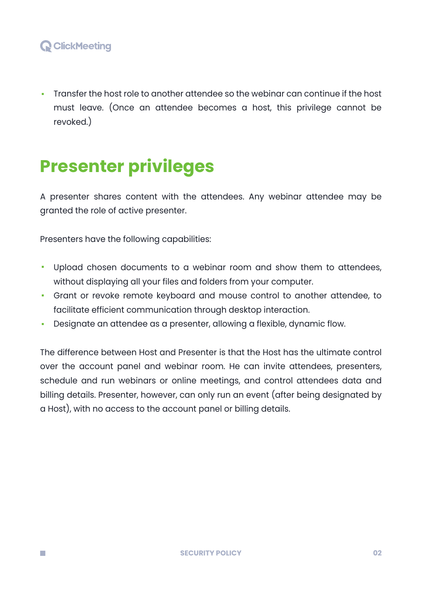Transfer the host role to another attendee so the webinar can continue if the host must leave. (Once an attendee becomes a host, this privilege cannot be revoked.)

## **Presenter privileges**

A presenter shares content with the attendees. Any webinar attendee may be granted the role of active presenter.

Presenters have the following capabilities:

- Upload chosen documents to a webinar room and show them to attendees,  $\blacksquare$ without displaying all your files and folders from your computer.
- Grant or revoke remote keyboard and mouse control to another attendee, to facilitate efficient communication through desktop interaction.
- Designate an attendee as a presenter, allowing a flexible, dynamic flow.

The difference between Host and Presenter is that the Host has the ultimate control over the account panel and webinar room. He can invite attendees, presenters, schedule and run webinars or online meetings, and control attendees data and billing details. Presenter, however, can only run an event (after being designated by a Host), with no access to the account panel or billing details.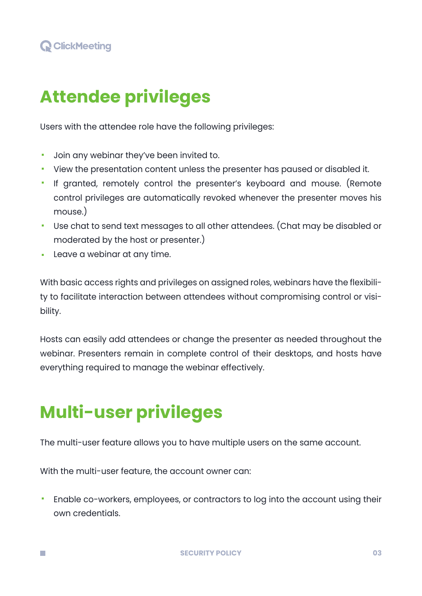#### **Q** ClickMeeting

# **Attendee privileges**

Users with the attendee role have the following privileges:

- Join any webinar they've been invited to.
- View the presentation content unless the presenter has paused or disabled it.
- If granted, remotely control the presenter's keyboard and mouse. (Remote control privileges are automatically revoked whenever the presenter moves his mouse.)
- Use chat to send text messages to all other attendees. (Chat may be disabled or moderated by the host or presenter.)
- **Leave a webinar at any time.**

With basic access rights and privileges on assigned roles, webinars have the flexibility to facilitate interaction between attendees without compromising control or visibility.

Hosts can easily add attendees or change the presenter as needed throughout the webinar. Presenters remain in complete control of their desktops, and hosts have everything required to manage the webinar effectively.

# **Multi-user privileges**

m.

The multi-user feature allows you to have multiple users on the same account.

With the multi-user feature, the account owner can:

Enable co-workers, employees, or contractors to log into the account using their own credentials.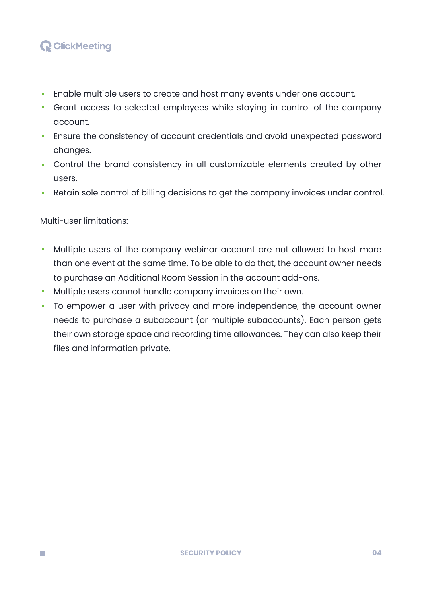#### **Q** ClickMeeting

- Enable multiple users to create and host many events under one account.
- Grant access to selected employees while staying in control of the company account.
- Ensure the consistency of account credentials and avoid unexpected password changes.
- Control the brand consistency in all customizable elements created by other users.
- Retain sole control of billing decisions to get the company invoices under control.

#### Multi-user limitations:

- Multiple users of the company webinar account are not allowed to host more than one event at the same time. To be able to do that, the account owner needs to purchase an Additional Room Session in the account add-ons.
- Multiple users cannot handle company invoices on their own.
- To empower a user with privacy and more independence, the account owner needs to purchase a subaccount (or multiple subaccounts). Each person gets their own storage space and recording time allowances. They can also keep their files and information private.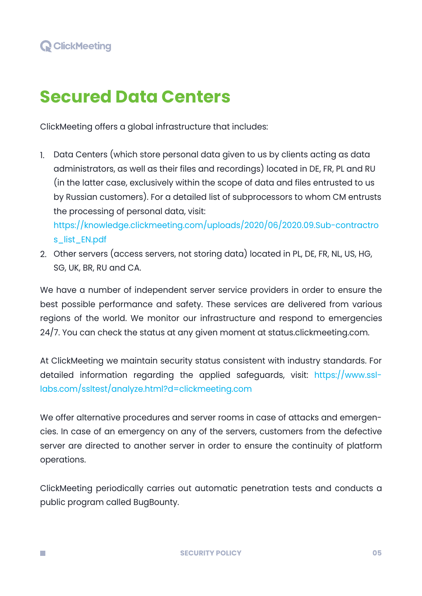m.

## **Secured Data Centers**

ClickMeeting offers a global infrastructure that includes:

1. Data Centers (which store personal data given to us by clients acting as data administrators, as well as their files and recordings) located in DE, FR, PL and RU (in the latter case, exclusively within the scope of data and files entrusted to us by Russian customers). For a detailed list of subprocessors to whom CM entrusts the processing of personal data, visit:

[https://knowledge.clickmeeting.com/uploads/2020/06/2020.09.Sub-contractro](https://knowledge.clickmeeting.com/uploads/2020/06/2020.09.Sub-contractros_list_EN.pdf) s\_list\_EN.pdf

2. Other servers (access servers, not storing data) located in PL, DE, FR, NL, US, HG, SG, UK, BR, RU and CA.

We have a number of independent server service providers in order to ensure the best possible performance and safety. These services are delivered from various regions of the world. We monitor our infrastructure and respond to emergencies 24/7. You can check the status at any given moment at status.clickmeeting.com.

At ClickMeeting we maintain security status consistent with industry standards. For detailed information regarding the applied safeguards, visit: [https://www.ssl](https://www.ssllabs.com/ssltest/analyze.html?d=clickmeeting.com)[labs.com/ssltest/analyze.html?d=clickmeeting.com](https://www.ssllabs.com/ssltest/analyze.html?d=clickmeeting.com)

We offer alternative procedures and server rooms in case of attacks and emergencies. In case of an emergency on any of the servers, customers from the defective server are directed to another server in order to ensure the continuity of platform operations.

ClickMeeting periodically carries out automatic penetration tests and conducts a public program called BugBounty.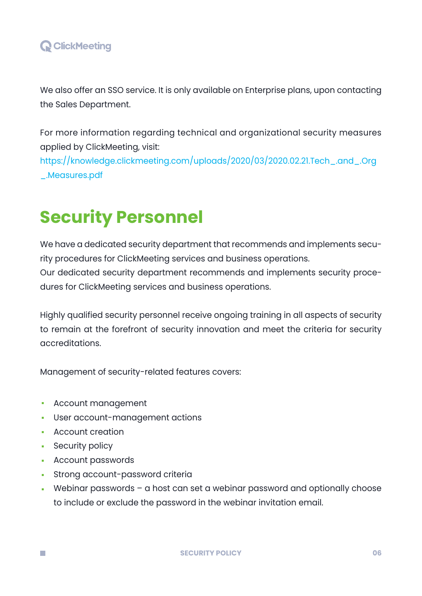#### **Q** ClickMeeting

We also offer an SSO service. It is only available on Enterprise plans, upon contacting the Sales Department.

For more information regarding technical and organizational security measures applied by ClickMeeting, visit: [https://knowledge.clickmeeting.com/uploads/2020/03/2020.02.21.Tech\\_.and\\_.Org](https://knowledge.clickmeeting.com/uploads/2020/03/2020.02.21.Tech_.and_.Org_.Measures.pdf)

\_.Measures.pdf

## **Security Personnel**

We have a dedicated security department that recommends and implements security procedures for ClickMeeting services and business operations. Our dedicated security department recommends and implements security procedures for ClickMeeting services and business operations.

Highly qualified security personnel receive ongoing training in all aspects of security to remain at the forefront of security innovation and meet the criteria for security accreditations.

Management of security-related features covers:

- Account management
- User account-management actions
- **Account creation**
- **Security policy**

- **Account passwords**
- **Strong account-password criteria**
- Webinar passwords a host can set a webinar password and optionally choose to include or exclude the password in the webinar invitation email.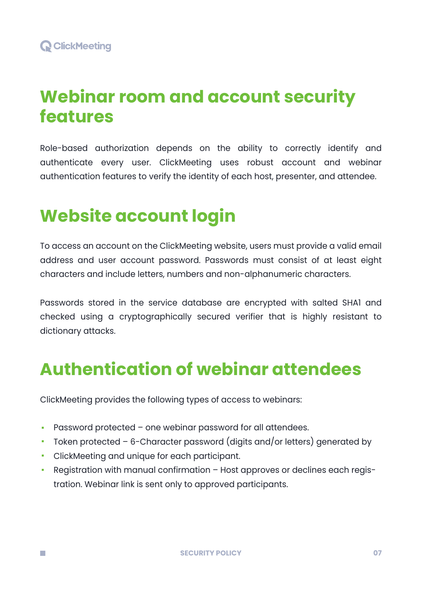### **Webinar room and account security features**

Role-based authorization depends on the ability to correctly identify and authenticate every user. ClickMeeting uses robust account and webinar authentication features to verify the identity of each host, presenter, and attendee.

### **Website account login**

To access an account on the ClickMeeting website, users must provide a valid email address and user account password. Passwords must consist of at least eight characters and include letters, numbers and non-alphanumeric characters.

Passwords stored in the service database are encrypted with salted SHA1 and checked using a cryptographically secured verifier that is highly resistant to dictionary attacks.

### **Authentication of webinar attendees**

ClickMeeting provides the following types of access to webinars:

- Password protected one webinar password for all attendees.
- Token protected  $-6$ -Character password (digits and/or letters) generated by
- ClickMeeting and unique for each participant.

m.

Registration with manual confirmation – Host approves or declines each registration. Webinar link is sent only to approved participants.